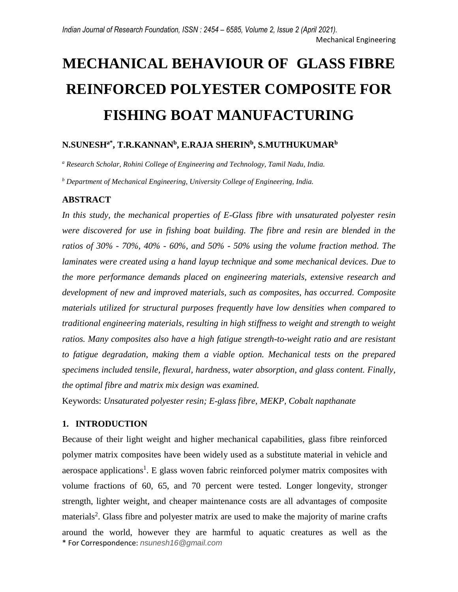# **MECHANICAL BEHAVIOUR OF GLASS FIBRE REINFORCED POLYESTER COMPOSITE FOR FISHING BOAT MANUFACTURING**

## **N.SUNESHa\*, T.R.KANNAN<sup>b</sup> , E.RAJA SHERIN<sup>b</sup> , S.MUTHUKUMAR<sup>b</sup>**

*<sup>a</sup> Research Scholar, Rohini College of Engineering and Technology, Tamil Nadu, India.*

*<sup>b</sup> Department of Mechanical Engineering, University College of Engineering, India.*

#### **ABSTRACT**

*In this study, the mechanical properties of E-Glass fibre with unsaturated polyester resin were discovered for use in fishing boat building. The fibre and resin are blended in the ratios of 30% - 70%, 40% - 60%, and 50% - 50% using the volume fraction method. The laminates were created using a hand layup technique and some mechanical devices. Due to the more performance demands placed on engineering materials, extensive research and development of new and improved materials, such as composites, has occurred. Composite materials utilized for structural purposes frequently have low densities when compared to traditional engineering materials, resulting in high stiffness to weight and strength to weight ratios. Many composites also have a high fatigue strength-to-weight ratio and are resistant to fatigue degradation, making them a viable option. Mechanical tests on the prepared specimens included tensile, flexural, hardness, water absorption, and glass content. Finally, the optimal fibre and matrix mix design was examined.*

Keywords: *Unsaturated polyester resin; E-glass fibre, MEKP, Cobalt napthanate*

## **1. INTRODUCTION**

\* For Correspondence: *nsunesh16@gmail.com* Because of their light weight and higher mechanical capabilities, glass fibre reinforced polymer matrix composites have been widely used as a substitute material in vehicle and aerospace applications<sup>1</sup>. E glass woven fabric reinforced polymer matrix composites with volume fractions of 60, 65, and 70 percent were tested. Longer longevity, stronger strength, lighter weight, and cheaper maintenance costs are all advantages of composite materials<sup>2</sup>. Glass fibre and polyester matrix are used to make the majority of marine crafts around the world, however they are harmful to aquatic creatures as well as the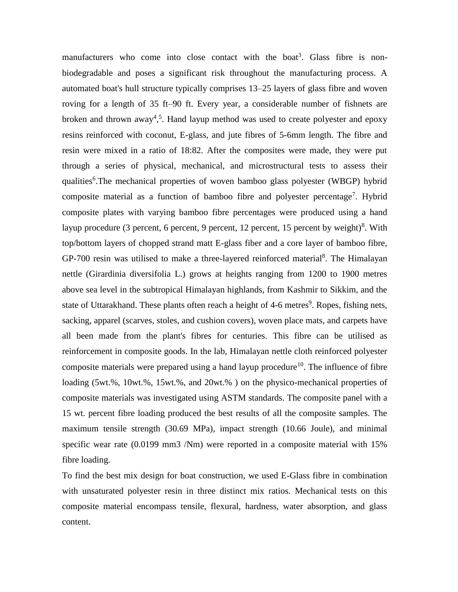manufacturers who come into close contact with the boat<sup>3</sup>. Glass fibre is nonbiodegradable and poses a significant risk throughout the manufacturing process. A automated boat's hull structure typically comprises 13–25 layers of glass fibre and woven roving for a length of 35 ft–90 ft. Every year, a considerable number of fishnets are broken and thrown away<sup>4,5</sup>. Hand layup method was used to create polyester and epoxy resins reinforced with coconut, E-glass, and jute fibres of 5-6mm length. The fibre and resin were mixed in a ratio of 18:82. After the composites were made, they were put through a series of physical, mechanical, and microstructural tests to assess their qualities<sup>6</sup>. The mechanical properties of woven bamboo glass polyester (WBGP) hybrid composite material as a function of bamboo fibre and polyester percentage<sup>7</sup>. Hybrid composite plates with varying bamboo fibre percentages were produced using a hand layup procedure (3 percent, 6 percent, 9 percent, 12 percent, 15 percent by weight)<sup>8</sup>. With top/bottom layers of chopped strand matt E-glass fiber and a core layer of bamboo fibre, GP-700 resin was utilised to make a three-layered reinforced material<sup>8</sup>. The Himalayan nettle (Girardinia diversifolia L.) grows at heights ranging from 1200 to 1900 metres above sea level in the subtropical Himalayan highlands, from Kashmir to Sikkim, and the state of Uttarakhand. These plants often reach a height of 4-6 metres<sup>9</sup>. Ropes, fishing nets, sacking, apparel (scarves, stoles, and cushion covers), woven place mats, and carpets have all been made from the plant's fibres for centuries. This fibre can be utilised as reinforcement in composite goods. In the lab, Himalayan nettle cloth reinforced polyester composite materials were prepared using a hand layup procedure<sup>10</sup>. The influence of fibre loading (5wt.%, 10wt.%, 15wt.%, and 20wt.%) on the physico-mechanical properties of composite materials was investigated using ASTM standards. The composite panel with a 15 wt. percent fibre loading produced the best results of all the composite samples. The maximum tensile strength (30.69 MPa), impact strength (10.66 Joule), and minimal specific wear rate (0.0199 mm3 /Nm) were reported in a composite material with 15% fibre loading.

To find the best mix design for boat construction, we used E-Glass fibre in combination with unsaturated polyester resin in three distinct mix ratios. Mechanical tests on this composite material encompass tensile, flexural, hardness, water absorption, and glass content.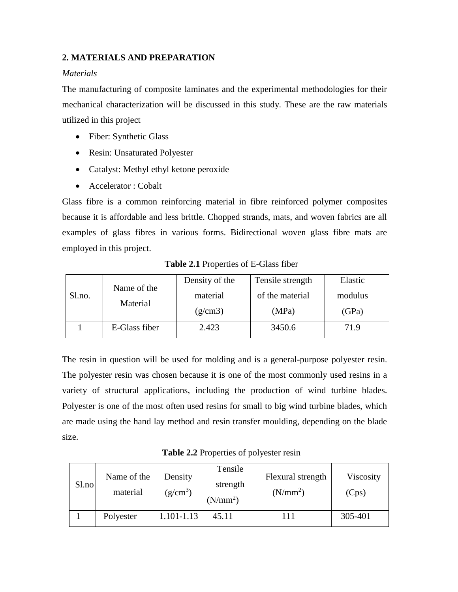## **2. MATERIALS AND PREPARATION**

### *Materials*

The manufacturing of composite laminates and the experimental methodologies for their mechanical characterization will be discussed in this study. These are the raw materials utilized in this project

- Fiber: Synthetic Glass
- Resin: Unsaturated Polyester
- Catalyst: Methyl ethyl ketone peroxide
- Accelerator : Cobalt

Glass fibre is a common reinforcing material in fibre reinforced polymer composites because it is affordable and less brittle. Chopped strands, mats, and woven fabrics are all examples of glass fibres in various forms. Bidirectional woven glass fibre mats are employed in this project.

|        | Name of the<br>Material | Density of the | Tensile strength |         |
|--------|-------------------------|----------------|------------------|---------|
| Sl.no. |                         | material       | of the material  | modulus |
|        |                         | (g/cm3)        | (MPa)            | (GPa)   |
|        | E-Glass fiber           | 2.423          | 3450.6           | 71.9    |

**Table 2.1** Properties of E-Glass fiber

The resin in question will be used for molding and is a general-purpose polyester resin. The polyester resin was chosen because it is one of the most commonly used resins in a variety of structural applications, including the production of wind turbine blades. Polyester is one of the most often used resins for small to big wind turbine blades, which are made using the hand lay method and resin transfer moulding, depending on the blade size.

**Table 2.2** Properties of polyester resin

| Sl.no | Name of the<br>material | Density<br>$(g/cm^3)$ | Tensile<br>strength<br>(N/mm <sup>2</sup> ) | Flexural strength<br>(N/mm <sup>2</sup> ) | Viscosity<br>(Cps) |
|-------|-------------------------|-----------------------|---------------------------------------------|-------------------------------------------|--------------------|
|       | Polyester               | $1.101 - 1.13$        | 45.11                                       |                                           | 305-401            |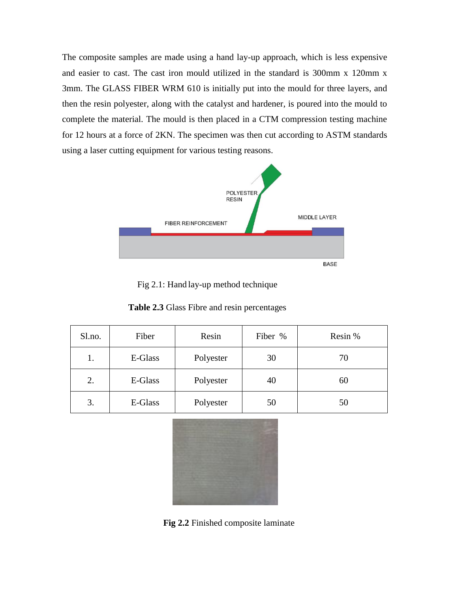The composite samples are made using a hand lay-up approach, which is less expensive and easier to cast. The cast iron mould utilized in the standard is 300mm x 120mm x 3mm. The GLASS FIBER WRM 610 is initially put into the mould for three layers, and then the resin polyester, along with the catalyst and hardener, is poured into the mould to complete the material. The mould is then placed in a CTM compression testing machine for 12 hours at a force of 2KN. The specimen was then cut according to ASTM standards using a laser cutting equipment for various testing reasons.



Fig 2.1: Hand lay-up method technique

| Table 2.3 Glass Fibre and resin percentages |  |
|---------------------------------------------|--|
|---------------------------------------------|--|

| Sl.no. | Fiber   | Resin     | Fiber % | Resin % |
|--------|---------|-----------|---------|---------|
| 1.     | E-Glass | Polyester | 30      | 70      |
| 2.     | E-Glass | Polyester | 40      | 60      |
| 3.     | E-Glass | Polyester | 50      | 50      |



**Fig 2.2** Finished composite laminate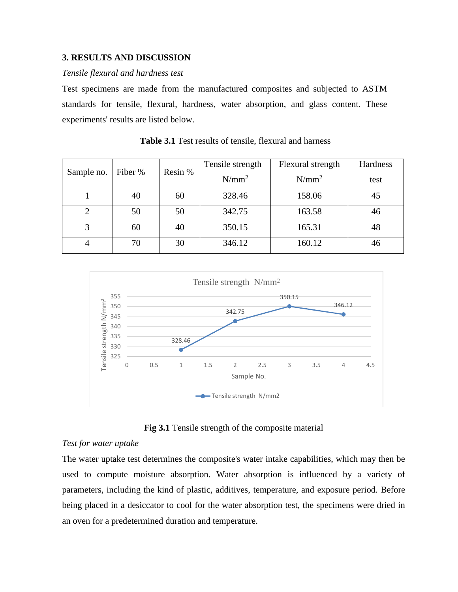#### **3. RESULTS AND DISCUSSION**

#### *Tensile flexural and hardness test*

Test specimens are made from the manufactured composites and subjected to ASTM standards for tensile, flexural, hardness, water absorption, and glass content. These experiments' results are listed below.

|                             |    |         | Tensile strength | Flexural strength | Hardness |
|-----------------------------|----|---------|------------------|-------------------|----------|
| Sample no.<br>Fiber %       |    | Resin % | $N/mm^2$         | $N/mm^2$          | test     |
|                             | 40 | 60      | 328.46           | 158.06            | 45       |
| $\mathcal{D}_{\mathcal{L}}$ | 50 | 50      | 342.75           | 163.58            | 46       |
| 3                           | 60 | 40      | 350.15           | 165.31            | 48       |
| $\overline{4}$              | 70 | 30      | 346.12           | 160.12            | 46       |

 **Table 3.1** Test results of tensile, flexural and harness



**Fig 3.1** Tensile strength of the composite material

#### *Test for water uptake*

The water uptake test determines the composite's water intake capabilities, which may then be used to compute moisture absorption. Water absorption is influenced by a variety of parameters, including the kind of plastic, additives, temperature, and exposure period. Before being placed in a desiccator to cool for the water absorption test, the specimens were dried in an oven for a predetermined duration and temperature.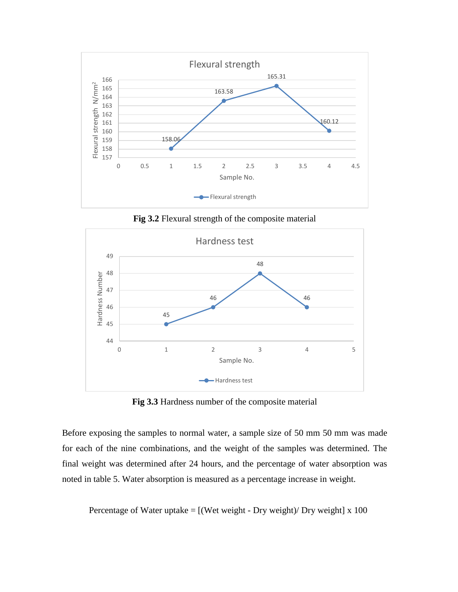

**Fig 3.2** Flexural strength of the composite material



**Fig 3.3** Hardness number of the composite material

Before exposing the samples to normal water, a sample size of 50 mm 50 mm was made for each of the nine combinations, and the weight of the samples was determined. The final weight was determined after 24 hours, and the percentage of water absorption was noted in table 5. Water absorption is measured as a percentage increase in weight.

Percentage of Water uptake  $=$  [(Wet weight - Dry weight)/ Dry weight] x 100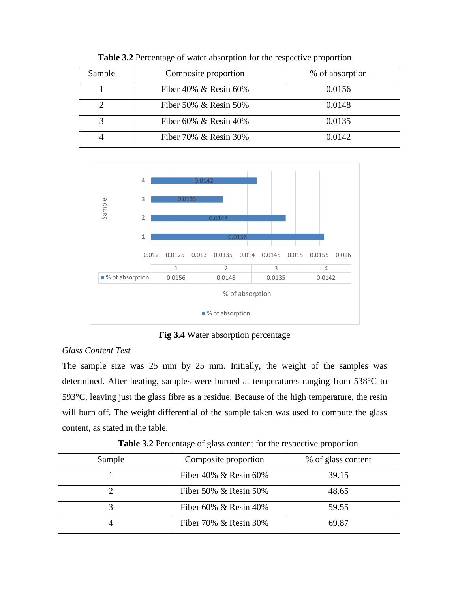| Sample | Composite proportion     | % of absorption |
|--------|--------------------------|-----------------|
|        | Fiber 40% $\&$ Resin 60% | 0.0156          |
|        | Fiber 50% $\&$ Resin 50% | 0.0148          |
|        | Fiber 60% & Resin $40\%$ | 0.0135          |
|        | Fiber 70% & Resin 30%    | 0.0142          |

**Table 3.2** Percentage of water absorption for the respective proportion



**Fig 3.4** Water absorption percentage

## *Glass Content Test*

The sample size was 25 mm by 25 mm. Initially, the weight of the samples was determined. After heating, samples were burned at temperatures ranging from 538°C to 593°C, leaving just the glass fibre as a residue. Because of the high temperature, the resin will burn off. The weight differential of the sample taken was used to compute the glass content, as stated in the table.

| Sample | Composite proportion     | % of glass content |
|--------|--------------------------|--------------------|
|        | Fiber 40% $\&$ Resin 60% | 39.15              |
|        | Fiber 50% $\&$ Resin 50% | 48.65              |
|        | Fiber 60% $\&$ Resin 40% | 59.55              |
|        | Fiber 70% & Resin 30%    | 69.87              |

**Table 3.2** Percentage of glass content for the respective proportion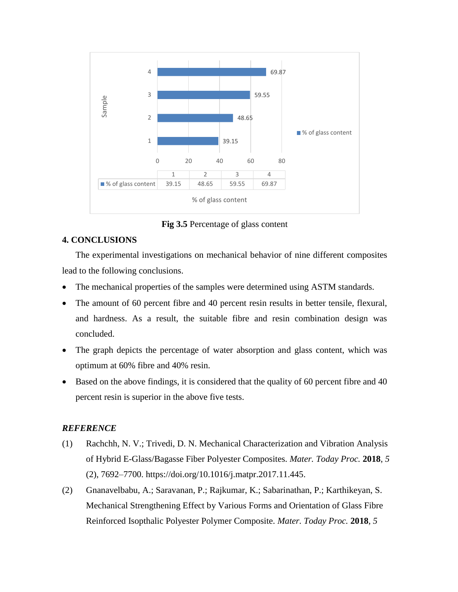

**Fig 3.5** Percentage of glass content

## **4. CONCLUSIONS**

The experimental investigations on mechanical behavior of nine different composites lead to the following conclusions.

- The mechanical properties of the samples were determined using ASTM standards.
- The amount of 60 percent fibre and 40 percent resin results in better tensile, flexural, and hardness. As a result, the suitable fibre and resin combination design was concluded.
- The graph depicts the percentage of water absorption and glass content, which was optimum at 60% fibre and 40% resin.
- Based on the above findings, it is considered that the quality of 60 percent fibre and 40 percent resin is superior in the above five tests.

## *REFERENCE*

- (1) Rachchh, N. V.; Trivedi, D. N. Mechanical Characterization and Vibration Analysis of Hybrid E-Glass/Bagasse Fiber Polyester Composites. *Mater. Today Proc.* **2018**, *5* (2), 7692–7700. https://doi.org/10.1016/j.matpr.2017.11.445.
- (2) Gnanavelbabu, A.; Saravanan, P.; Rajkumar, K.; Sabarinathan, P.; Karthikeyan, S. Mechanical Strengthening Effect by Various Forms and Orientation of Glass Fibre Reinforced Isopthalic Polyester Polymer Composite. *Mater. Today Proc.* **2018**, *5*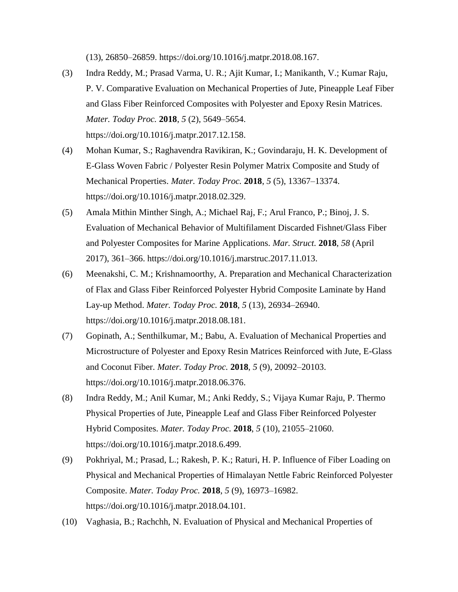(13), 26850–26859. https://doi.org/10.1016/j.matpr.2018.08.167.

- (3) Indra Reddy, M.; Prasad Varma, U. R.; Ajit Kumar, I.; Manikanth, V.; Kumar Raju, P. V. Comparative Evaluation on Mechanical Properties of Jute, Pineapple Leaf Fiber and Glass Fiber Reinforced Composites with Polyester and Epoxy Resin Matrices. *Mater. Today Proc.* **2018**, *5* (2), 5649–5654. https://doi.org/10.1016/j.matpr.2017.12.158.
- (4) Mohan Kumar, S.; Raghavendra Ravikiran, K.; Govindaraju, H. K. Development of E-Glass Woven Fabric / Polyester Resin Polymer Matrix Composite and Study of Mechanical Properties. *Mater. Today Proc.* **2018**, *5* (5), 13367–13374. https://doi.org/10.1016/j.matpr.2018.02.329.
- (5) Amala Mithin Minther Singh, A.; Michael Raj, F.; Arul Franco, P.; Binoj, J. S. Evaluation of Mechanical Behavior of Multifilament Discarded Fishnet/Glass Fiber and Polyester Composites for Marine Applications. *Mar. Struct.* **2018**, *58* (April 2017), 361–366. https://doi.org/10.1016/j.marstruc.2017.11.013.
- (6) Meenakshi, C. M.; Krishnamoorthy, A. Preparation and Mechanical Characterization of Flax and Glass Fiber Reinforced Polyester Hybrid Composite Laminate by Hand Lay-up Method. *Mater. Today Proc.* **2018**, *5* (13), 26934–26940. https://doi.org/10.1016/j.matpr.2018.08.181.
- (7) Gopinath, A.; Senthilkumar, M.; Babu, A. Evaluation of Mechanical Properties and Microstructure of Polyester and Epoxy Resin Matrices Reinforced with Jute, E-Glass and Coconut Fiber. *Mater. Today Proc.* **2018**, *5* (9), 20092–20103. https://doi.org/10.1016/j.matpr.2018.06.376.
- (8) Indra Reddy, M.; Anil Kumar, M.; Anki Reddy, S.; Vijaya Kumar Raju, P. Thermo Physical Properties of Jute, Pineapple Leaf and Glass Fiber Reinforced Polyester Hybrid Composites. *Mater. Today Proc.* **2018**, *5* (10), 21055–21060. https://doi.org/10.1016/j.matpr.2018.6.499.
- (9) Pokhriyal, M.; Prasad, L.; Rakesh, P. K.; Raturi, H. P. Influence of Fiber Loading on Physical and Mechanical Properties of Himalayan Nettle Fabric Reinforced Polyester Composite. *Mater. Today Proc.* **2018**, *5* (9), 16973–16982. https://doi.org/10.1016/j.matpr.2018.04.101.
- (10) Vaghasia, B.; Rachchh, N. Evaluation of Physical and Mechanical Properties of